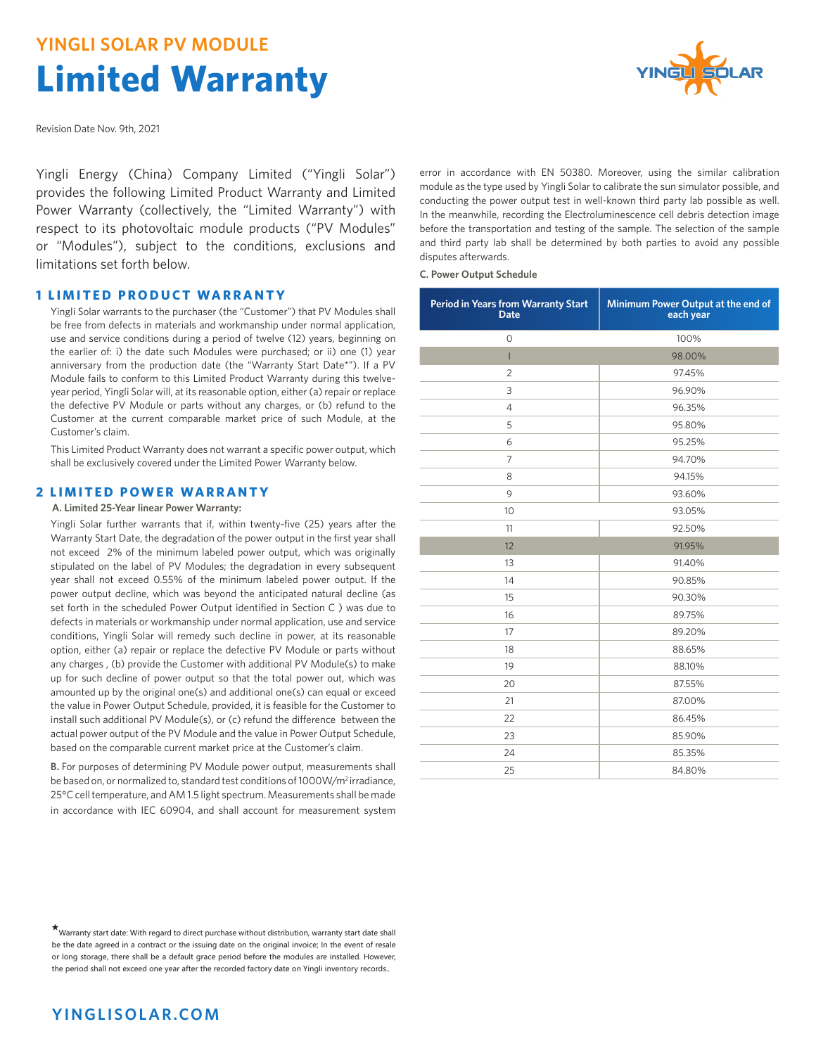# **YINGLI SOLAR PV MODULE Limited Warranty**



Revision Date Nov. 9th, 2021

Yingli Energy (China) Company Limited ("Yingli Solar") provides the following Limited Product Warranty and Limited Power Warranty (collectively, the "Limited Warranty") with respect to its photovoltaic module products ("PV Modules" or "Modules"), subject to the conditions, exclusions and limitations set forth below.

#### **1 LIMITED PRODUCT WARRANTY**

 Yingli Solar warrants to the purchaser (the "Customer") that PV Modules shall be free from defects in materials and workmanship under normal application, use and service conditions during a period of twelve (12) years, beginning on the earlier of: i) the date such Modules were purchased; or ii) one (1) year anniversary from the production date (the "Warranty Start Date\*"). If a PV Module fails to conform to this Limited Product Warranty during this twelveyear period, Yingli Solar will, at its reasonable option, either (a) repair or replace the defective PV Module or parts without any charges, or (b) refund to the Customer at the current comparable market price of such Module, at the Customer's claim.

 This Limited Product Warranty does not warrant a specific power output, which shall be exclusively covered under the Limited Power Warranty below.

#### **2 LIMITED POWER WARRANTY**

**A. Limited 25-Year linear Power Warranty:** 

 Yingli Solar further warrants that if, within twenty-five (25) years after the Warranty Start Date, the degradation of the power output in the first year shall not exceed 2% of the minimum labeled power output, which was originally stipulated on the label of PV Modules; the degradation in every subsequent year shall not exceed 0.55% of the minimum labeled power output. If the power output decline, which was beyond the anticipated natural decline (as set forth in the scheduled Power Output identified in Section C ) was due to defects in materials or workmanship under normal application, use and service conditions, Yingli Solar will remedy such decline in power, at its reasonable option, either (a) repair or replace the defective PV Module or parts without any charges , (b) provide the Customer with additional PV Module(s) to make up for such decline of power output so that the total power out, which was amounted up by the original one(s) and additional one(s) can equal or exceed the value in Power Output Schedule, provided, it is feasible for the Customer to install such additional PV Module(s), or (c) refund the difference between the actual power output of the PV Module and the value in Power Output Schedule, based on the comparable current market price at the Customer's claim.

 **B.** For purposes of determining PV Module power output, measurements shall be based on, or normalized to, standard test conditions of 1000W/m2 irradiance, 25°C cell temperature, and AM 1.5 light spectrum. Measurements shall be made in accordance with IEC 60904, and shall account for measurement system

error in accordance with EN 50380. Moreover, using the similar calibration module as the type used by Yingli Solar to calibrate the sun simulator possible, and conducting the power output test in well-known third party lab possible as well. In the meanwhile, recording the Electroluminescence cell debris detection image before the transportation and testing of the sample. The selection of the sample and third party lab shall be determined by both parties to avoid any possible disputes afterwards.

**C. Power Output Schedule**

| Period in Years from Warranty Start<br><b>Date</b> | Minimum Power Output at the end of<br>each year |
|----------------------------------------------------|-------------------------------------------------|
| $\overline{O}$                                     | 100%                                            |
| Т                                                  | 98.00%                                          |
| $\overline{2}$                                     | 97.45%                                          |
| 3                                                  | 96.90%                                          |
| $\overline{4}$                                     | 96.35%                                          |
| 5                                                  | 95.80%                                          |
| 6                                                  | 95.25%                                          |
| $\overline{7}$                                     | 94.70%                                          |
| 8                                                  | 94.15%                                          |
| 9                                                  | 93.60%                                          |
| 10                                                 | 93.05%                                          |
| 11                                                 | 92.50%                                          |
| 12                                                 | 91.95%                                          |
| 13                                                 | 91.40%                                          |
| 14                                                 | 90.85%                                          |
| 15                                                 | 90.30%                                          |
| 16                                                 | 89.75%                                          |
| 17                                                 | 89.20%                                          |
| 18                                                 | 88.65%                                          |
| 19                                                 | 88.10%                                          |
| 20                                                 | 87.55%                                          |
| 21                                                 | 87.00%                                          |
| 22                                                 | 86.45%                                          |
| 23                                                 | 85.90%                                          |
| 24                                                 | 85.35%                                          |
| 25                                                 | 84.80%                                          |

**<sup>\*</sup>**Warranty start date: With regard to direct purchase without distribution, warranty start date shall be the date agreed in a contract or the issuing date on the original invoice; In the event of resale or long storage, there shall be a default grace period before the modules are installed. However, the period shall not exceed one year after the recorded factory date on Yingli inventory records..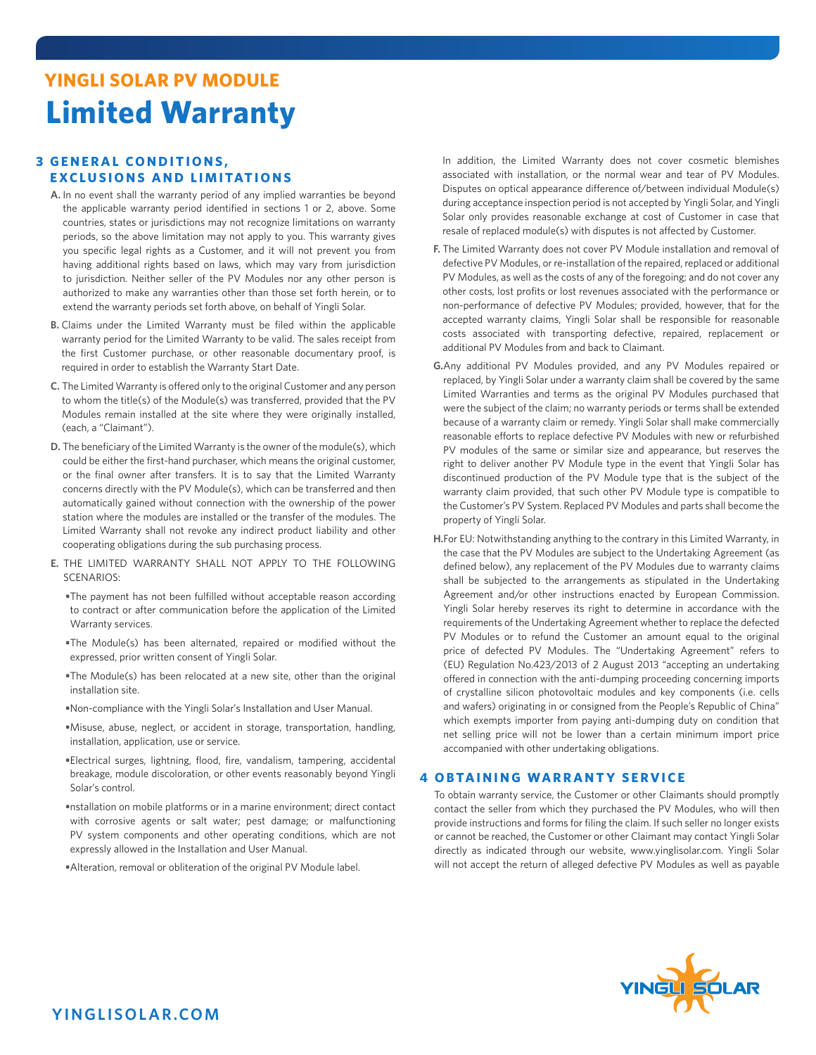# **YINGLI SOLAR PV MODULE Limited Warranty**

### **3 GENERAL CONDITIONS, EXCLUSIONS AND LIMITATIONS**

- **A.** In no event shall the warranty period of any implied warranties be beyond the applicable warranty period identified in sections 1 or 2, above. Some countries, states or jurisdictions may not recognize limitations on warranty periods, so the above limitation may not apply to you. This warranty gives you specific legal rights as a Customer, and it will not prevent you from having additional rights based on laws, which may vary from jurisdiction to jurisdiction. Neither seller of the PV Modules nor any other person is authorized to make any warranties other than those set forth herein, or to extend the warranty periods set forth above, on behalf of Yingli Solar.
- **B.** Claims under the Limited Warranty must be filed within the applicable warranty period for the Limited Warranty to be valid. The sales receipt from the first Customer purchase, or other reasonable documentary proof, is required in order to establish the Warranty Start Date.
- **C.** The Limited Warranty is offered only to the original Customer and any person to whom the title(s) of the Module(s) was transferred, provided that the PV Modules remain installed at the site where they were originally installed, (each, a "Claimant").
- **D.** The beneficiary of the Limited Warranty is the owner of the module(s), which could be either the first-hand purchaser, which means the original customer, or the final owner after transfers. It is to say that the Limited Warranty concerns directly with the PV Module(s), which can be transferred and then automatically gained without connection with the ownership of the power station where the modules are installed or the transfer of the modules. The Limited Warranty shall not revoke any indirect product liability and other cooperating obligations during the sub purchasing process.
- **E.** THE LIMITED WARRANTY SHALL NOT APPLY TO THE FOLLOWING SCENARIOS:
	- **•**The payment has not been fulfilled without acceptable reason according to contract or after communication before the application of the Limited Warranty services.
	- **•**The Module(s) has been alternated, repaired or modified without the expressed, prior written consent of Yingli Solar.
	- **•**The Module(s) has been relocated at a new site, other than the original installation site.
	- **•**Non-compliance with the Yingli Solar's Installation and User Manual.
	- **•**Misuse, abuse, neglect, or accident in storage, transportation, handling, installation, application, use or service.
	- **•**Electrical surges, lightning, flood, fire, vandalism, tampering, accidental breakage, module discoloration, or other events reasonably beyond Yingli Solar's control.
	- **•**nstallation on mobile platforms or in a marine environment; direct contact with corrosive agents or salt water; pest damage; or malfunctioning PV system components and other operating conditions, which are not expressly allowed in the Installation and User Manual.
	- **•**Alteration, removal or obliteration of the original PV Module label.

In addition, the Limited Warranty does not cover cosmetic blemishes associated with installation, or the normal wear and tear of PV Modules. Disputes on optical appearance difference of/between individual Module(s) during acceptance inspection period is not accepted by Yingli Solar, and Yingli Solar only provides reasonable exchange at cost of Customer in case that resale of replaced module(s) with disputes is not affected by Customer.

- **F.** The Limited Warranty does not cover PV Module installation and removal of defective PV Modules, or re-installation of the repaired, replaced or additional PV Modules, as well as the costs of any of the foregoing; and do not cover any other costs, lost profits or lost revenues associated with the performance or non-performance of defective PV Modules; provided, however, that for the accepted warranty claims, Yingli Solar shall be responsible for reasonable costs associated with transporting defective, repaired, replacement or additional PV Modules from and back to Claimant.
- **G.**Any additional PV Modules provided, and any PV Modules repaired or replaced, by Yingli Solar under a warranty claim shall be covered by the same Limited Warranties and terms as the original PV Modules purchased that were the subject of the claim; no warranty periods or terms shall be extended because of a warranty claim or remedy. Yingli Solar shall make commercially reasonable efforts to replace defective PV Modules with new or refurbished PV modules of the same or similar size and appearance, but reserves the right to deliver another PV Module type in the event that Yingli Solar has discontinued production of the PV Module type that is the subject of the warranty claim provided, that such other PV Module type is compatible to the Customer's PV System. Replaced PV Modules and parts shall become the property of Yingli Solar.
- **H.**For EU: Notwithstanding anything to the contrary in this Limited Warranty, in the case that the PV Modules are subject to the Undertaking Agreement (as defined below), any replacement of the PV Modules due to warranty claims shall be subjected to the arrangements as stipulated in the Undertaking Agreement and/or other instructions enacted by European Commission. Yingli Solar hereby reserves its right to determine in accordance with the requirements of the Undertaking Agreement whether to replace the defected PV Modules or to refund the Customer an amount equal to the original price of defected PV Modules. The "Undertaking Agreement" refers to (EU) Regulation No.423/2013 of 2 August 2013 "accepting an undertaking offered in connection with the anti-dumping proceeding concerning imports of crystalline silicon photovoltaic modules and key components (i.e. cells and wafers) originating in or consigned from the People's Republic of China" which exempts importer from paying anti-dumping duty on condition that net selling price will not be lower than a certain minimum import price accompanied with other undertaking obligations.

#### **4 OBTAINING WARRANTY SERVICE**

 To obtain warranty service, the Customer or other Claimants should promptly contact the seller from which they purchased the PV Modules, who will then provide instructions and forms for filing the claim. If such seller no longer exists or cannot be reached, the Customer or other Claimant may contact Yingli Solar directly as indicated through our website, www.yinglisolar.com. Yingli Solar will not accept the return of alleged defective PV Modules as well as payable

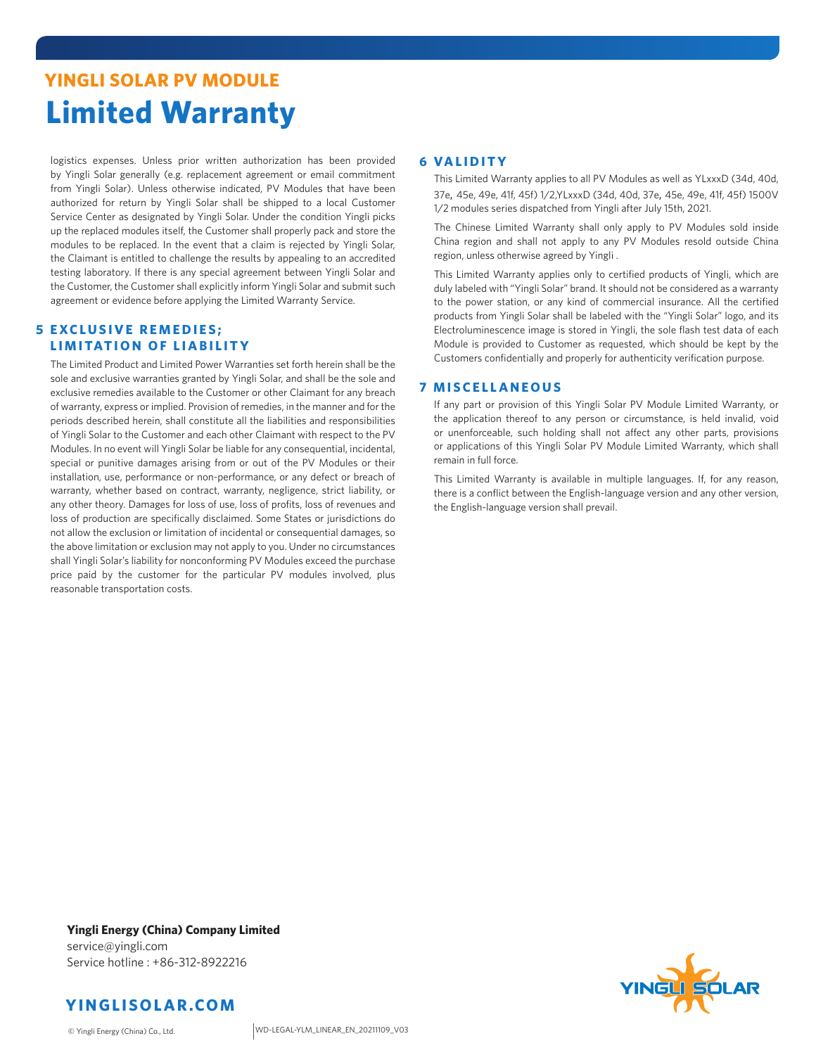# **YINGLI SOLAR PV MODULE Limited Warranty**

logistics expenses. Unless prior written authorization has been provided by Yingli Solar generally (e.g. replacement agreement or email commitment from Yingli Solar). Unless otherwise indicated, PV Modules that have been authorized for return by Yingli Solar shall be shipped to a local Customer Service Center as designated by Yingli Solar. Under the condition Yingli picks up the replaced modules itself, the Customer shall properly pack and store the modules to be replaced. In the event that a claim is rejected by Yingli Solar, the Claimant is entitled to challenge the results by appealing to an accredited testing laboratory. If there is any special agreement between Yingli Solar and the Customer, the Customer shall explicitly inform Yingli Solar and submit such agreement or evidence before applying the Limited Warranty Service.

### **5 EXCLUSIVE REMEDIES; LIMITATION OF LIABILITY**

The Limited Product and Limited Power Warranties set forth herein shall be the sole and exclusive warranties granted by Yingli Solar, and shall be the sole and exclusive remedies available to the Customer or other Claimant for any breach of warranty, express or implied. Provision of remedies, in the manner and for the periods described herein, shall constitute all the liabilities and responsibilities of Yingli Solar to the Customer and each other Claimant with respect to the PV Modules. In no event will Yingli Solar be liable for any consequential, incidental, special or punitive damages arising from or out of the PV Modules or their installation, use, performance or non-performance, or any defect or breach of warranty, whether based on contract, warranty, negligence, strict liability, or any other theory. Damages for loss of use, loss of profits, loss of revenues and loss of production are specifically disclaimed. Some States or jurisdictions do not allow the exclusion or limitation of incidental or consequential damages, so the above limitation or exclusion may not apply to you. Under no circumstances shall Yingli Solar's liability for nonconforming PV Modules exceed the purchase price paid by the customer for the particular PV modules involved, plus reasonable transportation costs.

### **6 VALIDITY**

 This Limited Warranty applies to all PV Modules as well as YLxxxD (34d, 40d, 37e, 45e, 49e, 41f, 45f) 1/2,YLxxxD (34d, 40d, 37e, 45e, 49e, 41f, 45f) 1500V 1/2 modules series dispatched from Yingli after July 15th, 2021.

 The Chinese Limited Warranty shall only apply to PV Modules sold inside China region and shall not apply to any PV Modules resold outside China region, unless otherwise agreed by Yingli .

 This Limited Warranty applies only to certified products of Yingli, which are duly labeled with "Yingli Solar" brand. It should not be considered as a warranty to the power station, or any kind of commercial insurance. All the certified products from Yingli Solar shall be labeled with the "Yingli Solar" logo, and its Electroluminescence image is stored in Yingli, the sole flash test data of each Module is provided to Customer as requested, which should be kept by the Customers confidentially and properly for authenticity verification purpose.

### **7 MISCELLANEOUS**

 If any part or provision of this Yingli Solar PV Module Limited Warranty, or the application thereof to any person or circumstance, is held invalid, void or unenforceable, such holding shall not affect any other parts, provisions or applications of this Yingli Solar PV Module Limited Warranty, which shall remain in full force.

 This Limited Warranty is available in multiple languages. If, for any reason, there is a conflict between the English-language version and any other version, the English-language version shall prevail.

**Yingli Energy (China) Company Limited** service@yingli.com Service hotline : +86-312-8922216



© Yingli Energy (China) Co., Ltd.